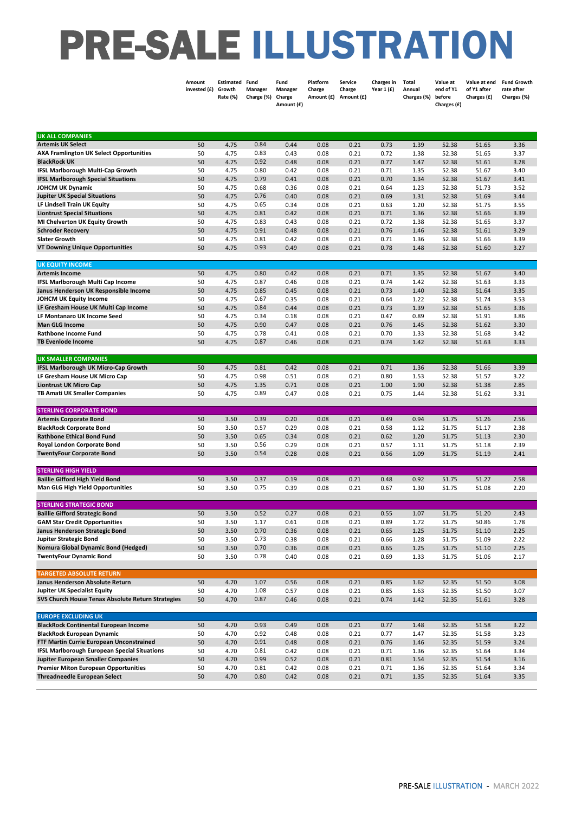## PRE-SALE ILLUSTRATION

|                                                                                    | Amount<br>invested (£) | Estimated Fund<br>Growth<br>Rate (%) | Manager<br>Charge (%) | Fund<br>Manager<br>Charge<br>Amount (£) | Platform<br>Charge | <b>Service</b><br>Charge<br>Amount (£) Amount (£) | Charges in<br>Year 1 (£) | Total<br>Annual<br>Charges (%) | Value at<br>end of Y1<br>before<br>Charges (£) | Value at end<br>of Y1 after<br>Charges (£) | <b>Fund Growth</b><br>rate after<br>Charges (%) |
|------------------------------------------------------------------------------------|------------------------|--------------------------------------|-----------------------|-----------------------------------------|--------------------|---------------------------------------------------|--------------------------|--------------------------------|------------------------------------------------|--------------------------------------------|-------------------------------------------------|
| <b>UK ALL COMPANIES</b>                                                            |                        |                                      |                       |                                         |                    |                                                   |                          |                                |                                                |                                            |                                                 |
| <b>Artemis UK Select</b>                                                           | 50                     | 4.75                                 | 0.84                  | 0.44                                    | 0.08               | 0.21                                              | 0.73                     | 1.39                           | 52.38                                          | 51.65                                      | 3.36                                            |
| <b>AXA Framlington UK Select Opportunities</b>                                     | 50                     | 4.75                                 | 0.83                  | 0.43                                    | 0.08               | 0.21                                              | 0.72                     | 1.38                           | 52.38                                          | 51.65                                      | 3.37                                            |
| <b>BlackRock UK</b>                                                                | 50                     | 4.75                                 | 0.92                  | 0.48                                    | 0.08               | 0.21                                              | 0.77                     | 1.47                           | 52.38                                          | 51.61                                      | 3.28                                            |
| <b>IFSL Marlborough Multi-Cap Growth</b>                                           | 50                     | 4.75                                 | 0.80                  | 0.42                                    | 0.08               | 0.21                                              | 0.71                     | 1.35                           | 52.38                                          | 51.67                                      | 3.40                                            |
| <b>IFSL Marlborough Special Situations</b>                                         | 50                     | 4.75                                 | 0.79                  | 0.41                                    | 0.08               | 0.21                                              | 0.70                     | 1.34                           | 52.38                                          | 51.67                                      | 3.41                                            |
| <b>JOHCM UK Dynamic</b>                                                            | 50                     | 4.75                                 | 0.68                  | 0.36                                    | 0.08               | 0.21                                              | 0.64                     | 1.23                           | 52.38                                          | 51.73                                      | 3.52                                            |
| <b>Jupiter UK Special Situations</b>                                               | 50                     | 4.75                                 | 0.76                  | 0.40                                    | 0.08               | 0.21                                              | 0.69                     | 1.31                           | 52.38                                          | 51.69                                      | 3.44                                            |
| LF Lindsell Train UK Equity                                                        | 50                     | 4.75                                 | 0.65                  | 0.34                                    | 0.08               | 0.21                                              | 0.63                     | 1.20                           | 52.38                                          | 51.75                                      | 3.55                                            |
| <b>Liontrust Special Situations</b>                                                | 50<br>50               | 4.75<br>4.75                         | 0.81<br>0.83          | 0.42<br>0.43                            | 0.08<br>0.08       | 0.21<br>0.21                                      | 0.71<br>0.72             | 1.36<br>1.38                   | 52.38<br>52.38                                 | 51.66<br>51.65                             | 3.39<br>3.37                                    |
| MI Chelverton UK Equity Growth<br><b>Schroder Recovery</b>                         | 50                     | 4.75                                 | 0.91                  | 0.48                                    | 0.08               | 0.21                                              | 0.76                     | 1.46                           | 52.38                                          | 51.61                                      | 3.29                                            |
| <b>Slater Growth</b>                                                               | 50                     | 4.75                                 | 0.81                  | 0.42                                    | 0.08               | 0.21                                              | 0.71                     | 1.36                           | 52.38                                          | 51.66                                      | 3.39                                            |
| <b>VT Downing Unique Opportunities</b>                                             | 50                     | 4.75                                 | 0.93                  | 0.49                                    | 0.08               | 0.21                                              | 0.78                     | 1.48                           | 52.38                                          | 51.60                                      | 3.27                                            |
| <b>UK EQUITY INCOME</b>                                                            |                        |                                      |                       |                                         |                    | 0.21                                              |                          |                                |                                                | 51.67                                      |                                                 |
| <b>Artemis Income</b><br>IFSL Marlborough Multi Cap Income                         | 50<br>50               | 4.75<br>4.75                         | 0.80<br>0.87          | 0.42<br>0.46                            | 0.08<br>0.08       | 0.21                                              | 0.71<br>0.74             | 1.35<br>1.42                   | 52.38<br>52.38                                 | 51.63                                      | 3.40<br>3.33                                    |
| Janus Henderson UK Responsible Income                                              | 50                     | 4.75                                 | 0.85                  | 0.45                                    | 0.08               | 0.21                                              | 0.73                     | 1.40                           | 52.38                                          | 51.64                                      | 3.35                                            |
| JOHCM UK Equity Income                                                             | 50                     | 4.75                                 | 0.67                  | 0.35                                    | 0.08               | 0.21                                              | 0.64                     | 1.22                           | 52.38                                          | 51.74                                      | 3.53                                            |
| LF Gresham House UK Multi Cap Income                                               | 50                     | 4.75                                 | 0.84                  | 0.44                                    | 0.08               | 0.21                                              | 0.73                     | 1.39                           | 52.38                                          | 51.65                                      | 3.36                                            |
| LF Montanaro UK Income Seed                                                        | 50                     | 4.75                                 | 0.34                  | 0.18                                    | 0.08               | 0.21                                              | 0.47                     | 0.89                           | 52.38                                          | 51.91                                      | 3.86                                            |
| <b>Man GLG Income</b>                                                              | 50                     | 4.75                                 | 0.90                  | 0.47                                    | 0.08               | 0.21                                              | 0.76                     | 1.45                           | 52.38                                          | 51.62                                      | 3.30                                            |
| <b>Rathbone Income Fund</b>                                                        | 50                     | 4.75                                 | 0.78                  | 0.41                                    | 0.08               | 0.21                                              | 0.70                     | 1.33                           | 52.38                                          | 51.68                                      | 3.42                                            |
| <b>TB Evenlode Income</b>                                                          | 50                     | 4.75                                 | 0.87                  | 0.46                                    | 0.08               | 0.21                                              | 0.74                     | 1.42                           | 52.38                                          | 51.63                                      | 3.33                                            |
| <b>UK SMALLER COMPANIES</b>                                                        |                        |                                      |                       |                                         |                    |                                                   |                          |                                |                                                |                                            |                                                 |
| IFSL Marlborough UK Micro-Cap Growth                                               | 50                     | 4.75                                 | 0.81                  | 0.42                                    | 0.08               | 0.21                                              | 0.71                     | 1.36                           | 52.38                                          | 51.66                                      | 3.39                                            |
| LF Gresham House UK Micro Cap                                                      | 50                     | 4.75                                 | 0.98                  | 0.51                                    | 0.08               | 0.21                                              | 0.80                     | 1.53                           | 52.38                                          | 51.57                                      | 3.22                                            |
| <b>Liontrust UK Micro Cap</b>                                                      | 50                     | 4.75                                 | 1.35                  | 0.71                                    | 0.08               | 0.21                                              | 1.00                     | 1.90                           | 52.38                                          | 51.38                                      | 2.85                                            |
| TB Amati UK Smaller Companies                                                      | 50                     | 4.75                                 | 0.89                  | 0.47                                    | 0.08               | 0.21                                              | 0.75                     | 1.44                           | 52.38                                          | 51.62                                      | 3.31                                            |
| <b>STERLING CORPORATE BOND</b>                                                     |                        |                                      |                       |                                         |                    |                                                   |                          |                                |                                                |                                            |                                                 |
| <b>Artemis Corporate Bond</b>                                                      | 50                     | 3.50                                 | 0.39                  | 0.20                                    | 0.08               | 0.21                                              | 0.49                     | 0.94                           | 51.75                                          | 51.26                                      | 2.56                                            |
| <b>BlackRock Corporate Bond</b>                                                    | 50                     | 3.50                                 | 0.57                  | 0.29                                    | 0.08               | 0.21                                              | 0.58                     | 1.12                           | 51.75                                          | 51.17                                      | 2.38                                            |
| <b>Rathbone Ethical Bond Fund</b>                                                  | 50                     | 3.50                                 | 0.65                  | 0.34                                    | 0.08               | 0.21                                              | 0.62                     | 1.20                           | 51.75                                          | 51.13                                      | 2.30                                            |
| <b>Royal London Corporate Bond</b>                                                 | 50                     | 3.50                                 | 0.56                  | 0.29                                    | 0.08               | 0.21                                              | 0.57                     | 1.11                           | 51.75                                          | 51.18                                      | 2.39                                            |
| <b>TwentyFour Corporate Bond</b>                                                   | 50                     | 3.50                                 | 0.54                  | 0.28                                    | 0.08               | 0.21                                              | 0.56                     | 1.09                           | 51.75                                          | 51.19                                      | 2.41                                            |
| <b>STERLING HIGH YIELD</b>                                                         |                        |                                      |                       |                                         |                    |                                                   |                          |                                |                                                |                                            |                                                 |
| <b>Baillie Gifford High Yield Bond</b>                                             | 50                     | 3.50                                 | 0.37                  | 0.19                                    | 0.08               | 0.21                                              | 0.48                     | 0.92                           | 51.75                                          | 51.27                                      | 2.58                                            |
| <b>Man GLG High Yield Opportunities</b>                                            | 50                     | 3.50                                 | 0.75                  | 0.39                                    | 0.08               | 0.21                                              | 0.67                     | 1.30                           | 51.75                                          | 51.08                                      | 2.20                                            |
| <b>STERLING STRATEGIC BOND</b>                                                     |                        |                                      |                       |                                         |                    |                                                   |                          |                                |                                                |                                            |                                                 |
| <b>Baillie Gifford Strategic Bond</b>                                              | 50                     | 3.50                                 | 0.52                  | 0.27                                    | 0.08               | 0.21                                              | 0.55                     | 1.07                           | 51.75                                          | 51.20                                      | 2.43                                            |
| <b>GAM Star Credit Opportunities</b>                                               | 50                     | 3.50                                 | 1.17                  | 0.61                                    | 0.08               | 0.21                                              | 0.89                     | 1.72                           | 51.75                                          | 50.86                                      | 1.78                                            |
| Janus Henderson Strategic Bond<br><b>Jupiter Strategic Bond</b>                    | 50                     | 3.50                                 | 0.70<br>0.73          | 0.36                                    | 0.08               | 0.21                                              | 0.65                     | 1.25                           | 51.75                                          | 51.10                                      | 2.25                                            |
| Nomura Global Dynamic Bond (Hedged)                                                | 50<br>50               | 3.50<br>3.50                         | 0.70                  | 0.38<br>0.36                            | 0.08<br>0.08       | 0.21<br>0.21                                      | 0.66<br>0.65             | 1.28<br>1.25                   | 51.75<br>51.75                                 | 51.09<br>51.10                             | 2.22<br>2.25                                    |
| <b>TwentyFour Dynamic Bond</b>                                                     | 50                     | 3.50                                 | 0.78                  | 0.40                                    | 0.08               | 0.21                                              | 0.69                     | 1.33                           | 51.75                                          | 51.06                                      | 2.17                                            |
| <b>TARGETED ABSOLUTE RETURN</b>                                                    |                        |                                      |                       |                                         |                    |                                                   |                          |                                |                                                |                                            |                                                 |
| Janus Henderson Absolute Return                                                    | 50                     | 4.70                                 | 1.07                  | 0.56                                    | 0.08               | 0.21                                              | 0.85                     | 1.62                           | 52.35                                          | 51.50                                      | 3.08                                            |
| <b>Jupiter UK Specialist Equity</b>                                                | 50                     | 4.70                                 | 1.08                  | 0.57                                    | 0.08               | 0.21                                              | 0.85                     | 1.63                           | 52.35                                          | 51.50                                      | 3.07                                            |
| SVS Church House Tenax Absolute Return Strategies                                  | 50                     | 4.70                                 | 0.87                  | 0.46                                    | 0.08               | 0.21                                              | 0.74                     | 1.42                           | 52.35                                          | 51.61                                      | 3.28                                            |
| <b>EUROPE EXCLUDING UK</b>                                                         |                        |                                      |                       |                                         |                    |                                                   |                          |                                |                                                |                                            |                                                 |
| <b>BlackRock Continental European Income</b>                                       | 50                     | 4.70                                 | 0.93                  | 0.49                                    | 0.08               | 0.21                                              | 0.77                     | 1.48                           | 52.35                                          | 51.58                                      | 3.22                                            |
| <b>BlackRock European Dynamic</b>                                                  | 50                     | 4.70                                 | 0.92                  | 0.48                                    | 0.08               | 0.21                                              | 0.77                     | 1.47                           | 52.35                                          | 51.58                                      | 3.23                                            |
| FTF Martin Currie European Unconstrained                                           | 50                     | 4.70                                 | 0.91                  | 0.48                                    | 0.08               | 0.21                                              | 0.76                     | 1.46                           | 52.35                                          | 51.59                                      | 3.24                                            |
| <b>IFSL Marlborough European Special Situations</b>                                | 50                     | 4.70                                 | 0.81                  | 0.42                                    | 0.08               | 0.21                                              | 0.71                     | 1.36                           | 52.35                                          | 51.64                                      | 3.34                                            |
| <b>Jupiter European Smaller Companies</b>                                          | 50                     | 4.70                                 | 0.99                  | 0.52                                    | 0.08               | 0.21                                              | 0.81                     | 1.54                           | 52.35                                          | 51.54                                      | 3.16                                            |
| <b>Premier Miton European Opportunities</b><br><b>Threadneedle European Select</b> | 50                     | 4.70                                 | 0.81<br>0.80          | 0.42                                    | 0.08               | 0.21                                              | 0.71                     | 1.36                           | 52.35                                          | 51.64                                      | 3.34                                            |
|                                                                                    | 50                     | 4.70                                 |                       | 0.42                                    | 0.08               | 0.21                                              | 0.71                     | 1.35                           | 52.35                                          | 51.64                                      | 3.35                                            |